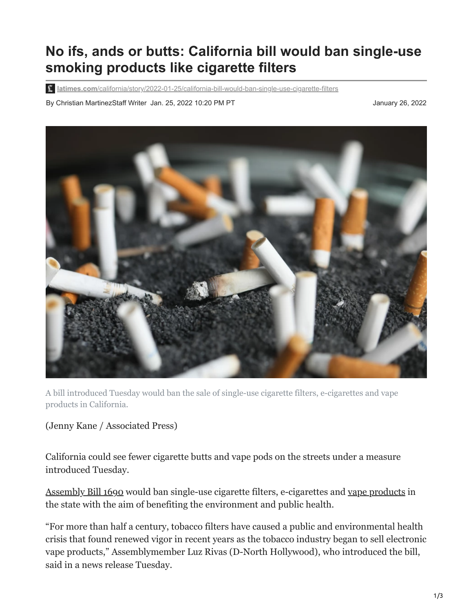## **No ifs, ands or butts: California bill would ban single-use smoking products like cigarette filters**

**latimes.com**[/california/story/2022-01-25/california-bill-would-ban-single-use-cigarette-filters](https://www.latimes.com/california/story/2022-01-25/california-bill-would-ban-single-use-cigarette-filters)

By Christian MartinezStaff Writer Jan. 25, 2022 10:20 PM PT January 26, 2022 January 26, 2022



A bill introduced Tuesday would ban the sale of single-use cigarette filters, e-cigarettes and vape products in California.

## (Jenny Kane / Associated Press)

California could see fewer cigarette butts and vape pods on the streets under a measure introduced Tuesday.

[Assembly Bill 1690](https://leginfo.legislature.ca.gov/faces/billTextClient.xhtml?bill_id=202120220AB1690) would ban single-use cigarette filters, e-cigarettes and [vape products](https://www.latimes.com/california/story/2021-10-04/california-new-vaping-tax-teen-use-fund-public-health-programs) in the state with the aim of benefiting the environment and public health.

"For more than half a century, tobacco filters have caused a public and environmental health crisis that found renewed vigor in recent years as the tobacco industry began to sell electronic vape products," Assemblymember Luz Rivas (D-North Hollywood), who introduced the bill, said in a news release Tuesday.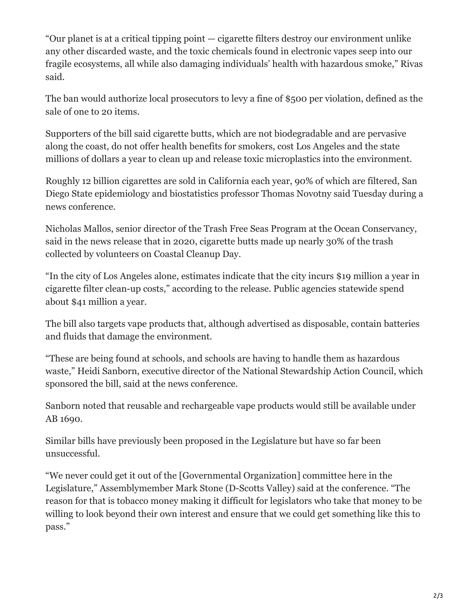"Our planet is at a critical tipping point — cigarette filters destroy our environment unlike any other discarded waste, and the toxic chemicals found in electronic vapes seep into our fragile ecosystems, all while also damaging individuals' health with hazardous smoke," Rivas said.

The ban would authorize local prosecutors to levy a fine of \$500 per violation, defined as the sale of one to 20 items.

Supporters of the bill said cigarette butts, which are not biodegradable and are pervasive along the coast, do not offer health benefits for smokers, cost Los Angeles and the state millions of dollars a year to clean up and release toxic microplastics into the environment.

Roughly 12 billion cigarettes are sold in California each year, 90% of which are filtered, San Diego State epidemiology and biostatistics professor Thomas Novotny said Tuesday during a news conference.

Nicholas Mallos, senior director of the Trash Free Seas Program at the Ocean Conservancy, said in the news release that in 2020, cigarette butts made up nearly 30% of the trash collected by volunteers on Coastal Cleanup Day.

"In the city of Los Angeles alone, estimates indicate that the city incurs \$19 million a year in cigarette filter clean-up costs," according to the release. Public agencies statewide spend about \$41 million a year.

The bill also targets vape products that, although advertised as disposable, contain batteries and fluids that damage the environment.

"These are being found at schools, and schools are having to handle them as hazardous waste," Heidi Sanborn, executive director of the National Stewardship Action Council, which sponsored the bill, said at the news conference.

Sanborn noted that reusable and rechargeable vape products would still be available under AB 1690.

Similar bills have previously been proposed in the Legislature but have so far been unsuccessful.

"We never could get it out of the [Governmental Organization] committee here in the Legislature," Assemblymember Mark Stone (D-Scotts Valley) said at the conference. "The reason for that is tobacco money making it difficult for legislators who take that money to be willing to look beyond their own interest and ensure that we could get something like this to pass."